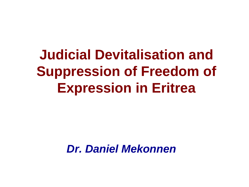**Judicial Devitalisation and Suppression of Freedom of Expression in Eritrea**

*Dr. Daniel Mekonnen*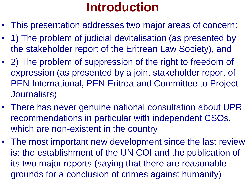# **Introduction**

- This presentation addresses two major areas of concern:
- 1) The problem of judicial devitalisation (as presented by the stakeholder report of the Eritrean Law Society), and
- 2) The problem of suppression of the right to freedom of expression (as presented by a joint stakeholder report of PEN International, PEN Eritrea and Committee to Project Journalists)
- There has never genuine national consultation about UPR recommendations in particular with independent CSOs, which are non-existent in the country
- The most important new development since the last review is: the establishment of the UN COI and the publication of its two major reports (saying that there are reasonable grounds for a conclusion of crimes against humanity)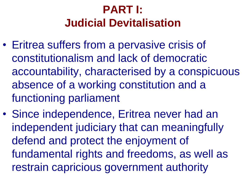## **PART I: Judicial Devitalisation**

- Eritrea suffers from a pervasive crisis of constitutionalism and lack of democratic accountability, characterised by a conspicuous absence of a working constitution and a functioning parliament
- Since independence, Eritrea never had an independent judiciary that can meaningfully defend and protect the enjoyment of fundamental rights and freedoms, as well as restrain capricious government authority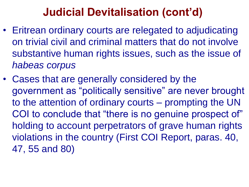### **Judicial Devitalisation (cont'd)**

- Eritrean ordinary courts are relegated to adjudicating on trivial civil and criminal matters that do not involve substantive human rights issues, such as the issue of *habeas corpus*
- Cases that are generally considered by the government as "politically sensitive" are never brought to the attention of ordinary courts – prompting the UN COI to conclude that "there is no genuine prospect of" holding to account perpetrators of grave human rights violations in the country (First COI Report, paras. 40, 47, 55 and 80)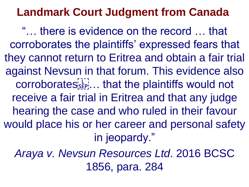### **Landmark Court Judgment from Canada**

"… there is evidence on the record … that corroborates the plaintiffs' expressed fears that they cannot return to Eritrea and obtain a fair trial against Nevsun in that forum. This evidence also corroborates<sup>[1]</sup>... that the plaintiffs would not receive a fair trial in Eritrea and that any judge hearing the case and who ruled in their favour would place his or her career and personal safety in jeopardy."

*Araya v. Nevsun Resources Ltd*. 2016 BCSC 1856, para. 284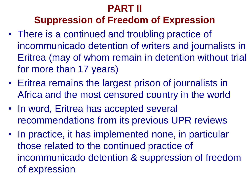#### **PART II**

#### **Suppression of Freedom of Expression**

- There is a continued and troubling practice of incommunicado detention of writers and journalists in Eritrea (may of whom remain in detention without trial for more than 17 years)
- Eritrea remains the largest prison of journalists in Africa and the most censored country in the world
- In word, Eritrea has accepted several recommendations from its previous UPR reviews
- In practice, it has implemented none, in particular those related to the continued practice of incommunicado detention & suppression of freedom of expression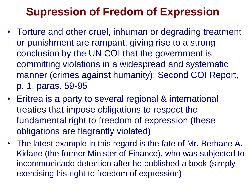### **Supression of Fredom of Expression**

- Torture and other cruel, inhuman or degrading treatment or punishment are rampant, giving rise to a strong conclusion by the UN COI that the government is committing violations in a widespread and systematic manner (crimes against humanity): Second COI Report, p. 1, paras. 59-95
- Eritrea is a party to several regional & international treaties that impose obligations to respect the fundamental right to freedom of expression (these obligations are flagrantly violated)
- The latest example in this regard is the fate of Mr. Berhane A. Kidane (the former Minister of Finance), who was subjected to incommunicado detention after he published a book (simply exercising his right to freedom of expression)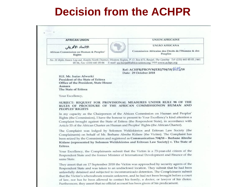#### **Decision from the ACHPR**

| <b>UNIÃO AFRICANA</b><br>الاتحاد الأفريقي<br>African Commission on Human & Peoples'<br>Peuples<br><b>Rights</b><br>No. 31 Bijilo Annex Lay-out, Kombo North District, Western Region, P. O. Box 673, Banjul, The Gambia Tel: (220) 441 05 05 /441<br>05 06, Fax: (220) 441 05 04 E-mail: au-banjul@africa-union.org; Web www.achpr.org<br>Ref: ACHPR/PROVM/ERI/704/18/1637/18<br>Date: 29 October 2018<br>H.F. Mr. Isaias Afwerki<br>President of the State of Eritrea<br>Office of the President, State House<br>Asmara<br>The State of Eritrea<br>Your Excellency,<br>SUBJECT: REQUEST FOR PROVISIONAL MEASURES UNDER RULE 98 OF THE<br>RULES OF PROCEDURE OF THE AFRICAN COMMISSIONON HUMAN AND<br><b>PEOPLES' RIGHTS</b><br>In my capacity as the Chairperson of the African Commission on Human and Peoples'<br>Rights (the Commission), I have the honour to present to Your Excellency's kind attention a<br>Complaint brought against the State of Eritrea (the Respondent State), in accordance with | <b>AFRICAN UNION</b> | <b>UNION AFRICAINE</b>                           |
|---------------------------------------------------------------------------------------------------------------------------------------------------------------------------------------------------------------------------------------------------------------------------------------------------------------------------------------------------------------------------------------------------------------------------------------------------------------------------------------------------------------------------------------------------------------------------------------------------------------------------------------------------------------------------------------------------------------------------------------------------------------------------------------------------------------------------------------------------------------------------------------------------------------------------------------------------------------------------------------------------------------|----------------------|--------------------------------------------------|
|                                                                                                                                                                                                                                                                                                                                                                                                                                                                                                                                                                                                                                                                                                                                                                                                                                                                                                                                                                                                               |                      | Commission Africaine des Droits de l'Homme & des |
|                                                                                                                                                                                                                                                                                                                                                                                                                                                                                                                                                                                                                                                                                                                                                                                                                                                                                                                                                                                                               |                      |                                                  |
|                                                                                                                                                                                                                                                                                                                                                                                                                                                                                                                                                                                                                                                                                                                                                                                                                                                                                                                                                                                                               |                      |                                                  |
|                                                                                                                                                                                                                                                                                                                                                                                                                                                                                                                                                                                                                                                                                                                                                                                                                                                                                                                                                                                                               |                      |                                                  |
|                                                                                                                                                                                                                                                                                                                                                                                                                                                                                                                                                                                                                                                                                                                                                                                                                                                                                                                                                                                                               |                      |                                                  |
| Article 55 of the African Charter on Human and Peoples' Rights (the African Charter).                                                                                                                                                                                                                                                                                                                                                                                                                                                                                                                                                                                                                                                                                                                                                                                                                                                                                                                         |                      |                                                  |

The Complaint was lodged by Solomon Weldekirstos and Eritrean Law Society (the Complainants) on behalf of Mr. Berhane Abrehe Kidane (the Victim). The Complaint has been seized by the Commission and registered as Communication 704/18 - Berhane Abrehe Kidane (represented by Solomon Weldekirstos and Eritrean Law Society) v. The State of Eritrea.

Your Excellency, the Complainants submit that the Victim is a 73-year-old citizen of the Respondent State and the former Minister of International Development and Finance of the same State.

They assert that on 17 September 2018 the Victim was approached by security agents of the Respondent State and was taken to an undisclosed location. They submit that he had been unlawfully detained and subjected to incommunicado detention. The Complainants submit that the Victim's whereabouts remain unknown, and he had not been brought before a court of law, nor has he been allowed to contact his family, a doctor, or lawyer of his choice. Furthermore, they assert that no official account has been given of his predicament.